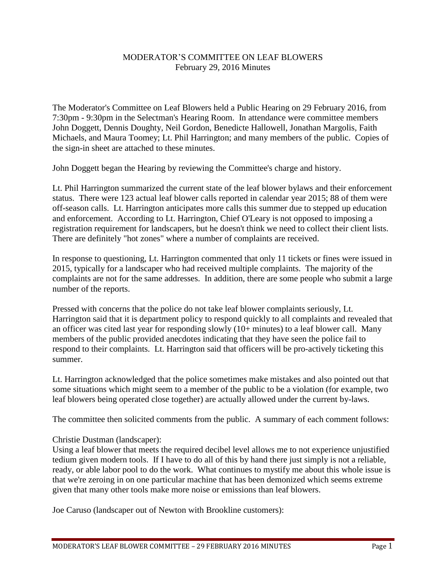# MODERATOR'S COMMITTEE ON LEAF BLOWERS February 29, 2016 Minutes

The Moderator's Committee on Leaf Blowers held a Public Hearing on 29 February 2016, from 7:30pm - 9:30pm in the Selectman's Hearing Room. In attendance were committee members John Doggett, Dennis Doughty, Neil Gordon, Benedicte Hallowell, Jonathan Margolis, Faith Michaels, and Maura Toomey; Lt. Phil Harrington; and many members of the public. Copies of the sign-in sheet are attached to these minutes.

John Doggett began the Hearing by reviewing the Committee's charge and history.

Lt. Phil Harrington summarized the current state of the leaf blower bylaws and their enforcement status. There were 123 actual leaf blower calls reported in calendar year 2015; 88 of them were off-season calls. Lt. Harrington anticipates more calls this summer due to stepped up education and enforcement. According to Lt. Harrington, Chief O'Leary is not opposed to imposing a registration requirement for landscapers, but he doesn't think we need to collect their client lists. There are definitely "hot zones" where a number of complaints are received.

In response to questioning, Lt. Harrington commented that only 11 tickets or fines were issued in 2015, typically for a landscaper who had received multiple complaints. The majority of the complaints are not for the same addresses. In addition, there are some people who submit a large number of the reports.

Pressed with concerns that the police do not take leaf blower complaints seriously, Lt. Harrington said that it is department policy to respond quickly to all complaints and revealed that an officer was cited last year for responding slowly (10+ minutes) to a leaf blower call. Many members of the public provided anecdotes indicating that they have seen the police fail to respond to their complaints. Lt. Harrington said that officers will be pro-actively ticketing this summer.

Lt. Harrington acknowledged that the police sometimes make mistakes and also pointed out that some situations which might seem to a member of the public to be a violation (for example, two leaf blowers being operated close together) are actually allowed under the current by-laws.

The committee then solicited comments from the public. A summary of each comment follows:

# Christie Dustman (landscaper):

Using a leaf blower that meets the required decibel level allows me to not experience unjustified tedium given modern tools. If I have to do all of this by hand there just simply is not a reliable, ready, or able labor pool to do the work. What continues to mystify me about this whole issue is that we're zeroing in on one particular machine that has been demonized which seems extreme given that many other tools make more noise or emissions than leaf blowers.

Joe Caruso (landscaper out of Newton with Brookline customers):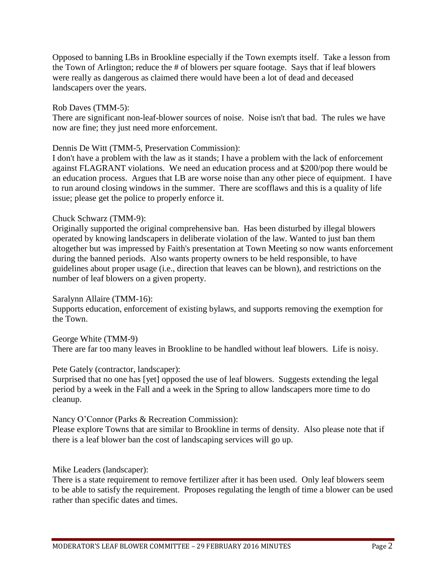Opposed to banning LBs in Brookline especially if the Town exempts itself. Take a lesson from the Town of Arlington; reduce the # of blowers per square footage. Says that if leaf blowers were really as dangerous as claimed there would have been a lot of dead and deceased landscapers over the years.

# Rob Daves (TMM-5):

There are significant non-leaf-blower sources of noise. Noise isn't that bad. The rules we have now are fine; they just need more enforcement.

#### Dennis De Witt (TMM-5, Preservation Commission):

I don't have a problem with the law as it stands; I have a problem with the lack of enforcement against FLAGRANT violations. We need an education process and at \$200/pop there would be an education process. Argues that LB are worse noise than any other piece of equipment. I have to run around closing windows in the summer. There are scofflaws and this is a quality of life issue; please get the police to properly enforce it.

#### Chuck Schwarz (TMM-9):

Originally supported the original comprehensive ban. Has been disturbed by illegal blowers operated by knowing landscapers in deliberate violation of the law. Wanted to just ban them altogether but was impressed by Faith's presentation at Town Meeting so now wants enforcement during the banned periods. Also wants property owners to be held responsible, to have guidelines about proper usage (i.e., direction that leaves can be blown), and restrictions on the number of leaf blowers on a given property.

# Saralynn Allaire (TMM-16):

Supports education, enforcement of existing bylaws, and supports removing the exemption for the Town.

# George White (TMM-9)

There are far too many leaves in Brookline to be handled without leaf blowers. Life is noisy.

#### Pete Gately (contractor, landscaper):

Surprised that no one has [yet] opposed the use of leaf blowers. Suggests extending the legal period by a week in the Fall and a week in the Spring to allow landscapers more time to do cleanup.

#### Nancy O'Connor (Parks & Recreation Commission):

Please explore Towns that are similar to Brookline in terms of density. Also please note that if there is a leaf blower ban the cost of landscaping services will go up.

# Mike Leaders (landscaper):

There is a state requirement to remove fertilizer after it has been used. Only leaf blowers seem to be able to satisfy the requirement. Proposes regulating the length of time a blower can be used rather than specific dates and times.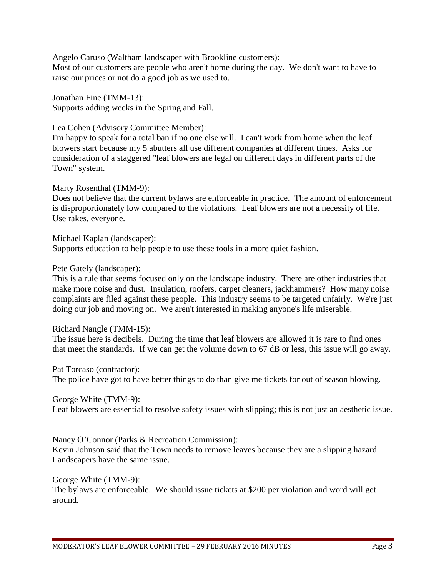Angelo Caruso (Waltham landscaper with Brookline customers):

Most of our customers are people who aren't home during the day. We don't want to have to raise our prices or not do a good job as we used to.

Jonathan Fine (TMM-13): Supports adding weeks in the Spring and Fall.

Lea Cohen (Advisory Committee Member):

I'm happy to speak for a total ban if no one else will. I can't work from home when the leaf blowers start because my 5 abutters all use different companies at different times. Asks for consideration of a staggered "leaf blowers are legal on different days in different parts of the Town" system.

Marty Rosenthal (TMM-9):

Does not believe that the current bylaws are enforceable in practice. The amount of enforcement is disproportionately low compared to the violations. Leaf blowers are not a necessity of life. Use rakes, everyone.

Michael Kaplan (landscaper): Supports education to help people to use these tools in a more quiet fashion.

Pete Gately (landscaper):

This is a rule that seems focused only on the landscape industry. There are other industries that make more noise and dust. Insulation, roofers, carpet cleaners, jackhammers? How many noise complaints are filed against these people. This industry seems to be targeted unfairly. We're just doing our job and moving on. We aren't interested in making anyone's life miserable.

Richard Nangle (TMM-15):

The issue here is decibels. During the time that leaf blowers are allowed it is rare to find ones that meet the standards. If we can get the volume down to 67 dB or less, this issue will go away.

Pat Torcaso (contractor): The police have got to have better things to do than give me tickets for out of season blowing.

George White (TMM-9):

Leaf blowers are essential to resolve safety issues with slipping; this is not just an aesthetic issue.

Nancy O'Connor (Parks & Recreation Commission):

Kevin Johnson said that the Town needs to remove leaves because they are a slipping hazard. Landscapers have the same issue.

George White (TMM-9):

The bylaws are enforceable. We should issue tickets at \$200 per violation and word will get around.